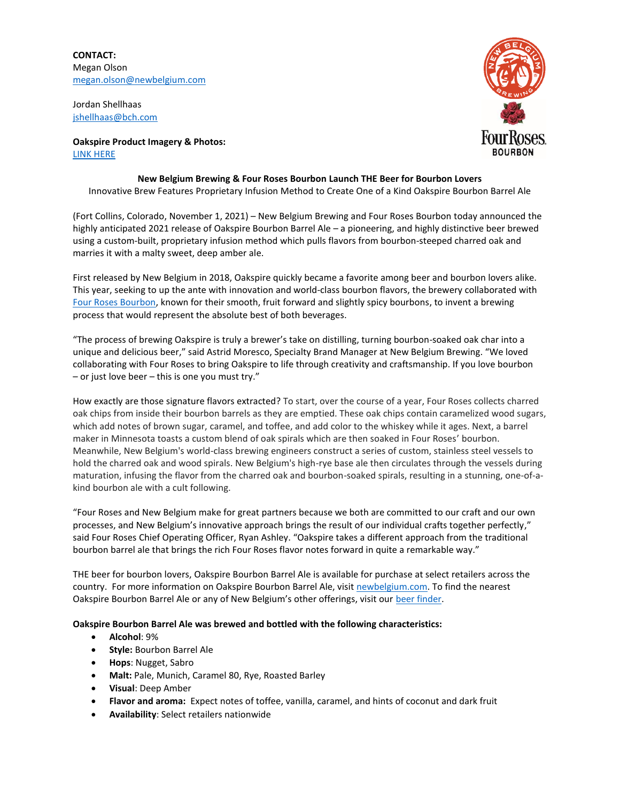**CONTACT:** Megan Olson [megan.olson@newbelgium.com](mailto:megan.olson@newbelgium.com)

Jordan Shellhaas [jshellhaas@bch.com](mailto:jshellhaas@bch.com)

**Oakspire Product Imagery & Photos:**  [LINK HERE](https://assets.newbelgium.com/share/9AE40556-F5C3-44DC-B26B20D6F8D692A1/)

## **New Belgium Brewing & Four Roses Bourbon Launch THE Beer for Bourbon Lovers** Innovative Brew Features Proprietary Infusion Method to Create One of a Kind Oakspire Bourbon Barrel Ale

(Fort Collins, Colorado, November 1, 2021) – New Belgium Brewing and Four Roses Bourbon today announced the highly anticipated 2021 release of Oakspire Bourbon Barrel Ale – a pioneering, and highly distinctive beer brewed using a custom-built, proprietary infusion method which pulls flavors from bourbon-steeped charred oak and marries it with a malty sweet, deep amber ale.

First released by New Belgium in 2018, Oakspire quickly became a favorite among beer and bourbon lovers alike. This year, seeking to up the ante with innovation and world-class bourbon flavors, the brewery collaborated with [Four Roses Bourbon,](https://fourrosesbourbon.com/) known for their smooth, fruit forward and slightly spicy bourbons, to invent a brewing process that would represent the absolute best of both beverages.

"The process of brewing Oakspire is truly a brewer's take on distilling, turning bourbon-soaked oak char into a unique and delicious beer," said Astrid Moresco, Specialty Brand Manager at New Belgium Brewing. "We loved collaborating with Four Roses to bring Oakspire to life through creativity and craftsmanship. If you love bourbon – or just love beer – this is one you must try."

How exactly are those signature flavors extracted? To start, over the course of a year, Four Roses collects charred oak chips from inside their bourbon barrels as they are emptied. These oak chips contain caramelized wood sugars, which add notes of brown sugar, caramel, and toffee, and add color to the whiskey while it ages. Next, a barrel maker in Minnesota toasts a custom blend of oak spirals which are then soaked in Four Roses' bourbon. Meanwhile, New Belgium's world-class brewing engineers construct a series of custom, stainless steel vessels to hold the charred oak and wood spirals. New Belgium's high-rye base ale then circulates through the vessels during maturation, infusing the flavor from the charred oak and bourbon-soaked spirals, resulting in a stunning, one-of-akind bourbon ale with a cult following.

"Four Roses and New Belgium make for great partners because we both are committed to our craft and our own processes, and New Belgium's innovative approach brings the result of our individual crafts together perfectly," said Four Roses Chief Operating Officer, Ryan Ashley. "Oakspire takes a different approach from the traditional bourbon barrel ale that brings the rich Four Roses flavor notes forward in quite a remarkable way."

THE beer for bourbon lovers, Oakspire Bourbon Barrel Ale is available for purchase at select retailers across the country. For more information on Oakspire Bourbon Barrel Ale, visit [newbelgium.com.](https://www.newbelgium.com/) To find the nearest Oakspire Bourbon Barrel Ale or any of New Belgium's other offerings, visit our [beer finder.](https://www.newbelgium.com/beer/finder/)

## **Oakspire Bourbon Barrel Ale was brewed and bottled with the following characteristics:**

- **Alcohol**: 9%
- **Style:** Bourbon Barrel Ale
- **Hops**: Nugget, Sabro
- **Malt:** Pale, Munich, Caramel 80, Rye, Roasted Barley
- **Visual**: Deep Amber
- **Flavor and aroma:** Expect notes of toffee, vanilla, caramel, and hints of coconut and dark fruit
- **Availability**: Select retailers nationwide